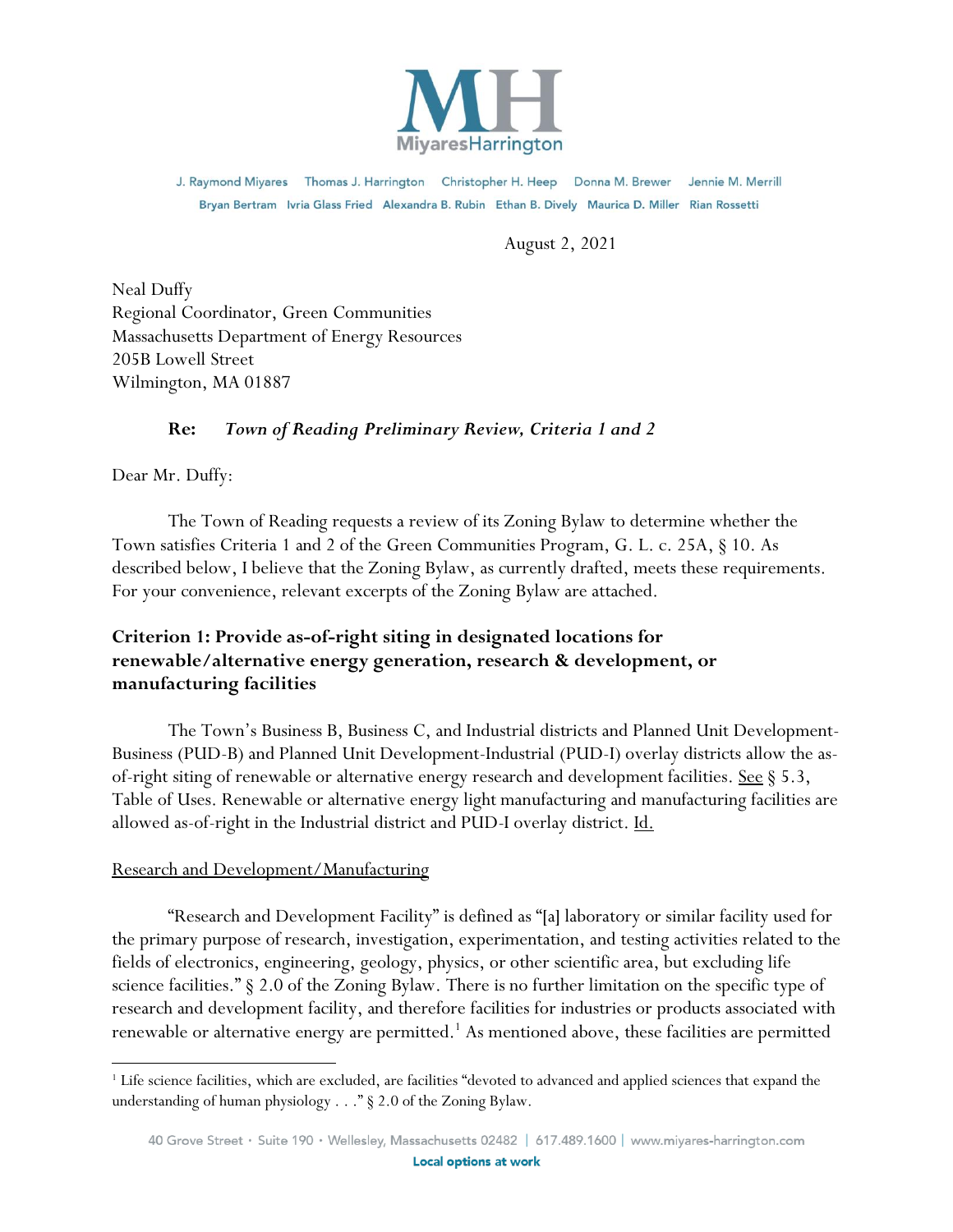

J. Raymond Miyares Thomas J. Harrington Christopher H. Heep Donna M. Brewer Jennie M. Merrill Bryan Bertram Ivria Glass Fried Alexandra B. Rubin Ethan B. Dively Maurica D. Miller Rian Rossetti

August 2, 2021

Neal Duffy Regional Coordinator, Green Communities Massachusetts Department of Energy Resources 205B Lowell Street Wilmington, MA 01887

# **Re:** *Town of Reading Preliminary Review, Criteria 1 and 2*

Dear Mr. Duffy:

The Town of Reading requests a review of its Zoning Bylaw to determine whether the Town satisfies Criteria 1 and 2 of the Green Communities Program, G. L. c. 25A, § 10. As described below, I believe that the Zoning Bylaw, as currently drafted, meets these requirements. For your convenience, relevant excerpts of the Zoning Bylaw are attached.

# **Criterion 1: Provide as-of-right siting in designated locations for renewable/alternative energy generation, research & development, or manufacturing facilities**

The Town's Business B, Business C, and Industrial districts and Planned Unit Development-Business (PUD-B) and Planned Unit Development-Industrial (PUD-I) overlay districts allow the asof-right siting of renewable or alternative energy research and development facilities. See § 5.3, Table of Uses. Renewable or alternative energy light manufacturing and manufacturing facilities are allowed as-of-right in the Industrial district and PUD-I overlay district. Id.

### Research and Development/Manufacturing

"Research and Development Facility" is defined as "[a] laboratory or similar facility used for the primary purpose of research, investigation, experimentation, and testing activities related to the fields of electronics, engineering, geology, physics, or other scientific area, but excluding life science facilities." § 2.0 of the Zoning Bylaw. There is no further limitation on the specific type of research and development facility, and therefore facilities for industries or products associated with renewable or alternative energy are permitted.<sup>1</sup> As mentioned above, these facilities are permitted

<sup>&</sup>lt;sup>1</sup> Life science facilities, which are excluded, are facilities "devoted to advanced and applied sciences that expand the understanding of human physiology . . ." § 2.0 of the Zoning Bylaw.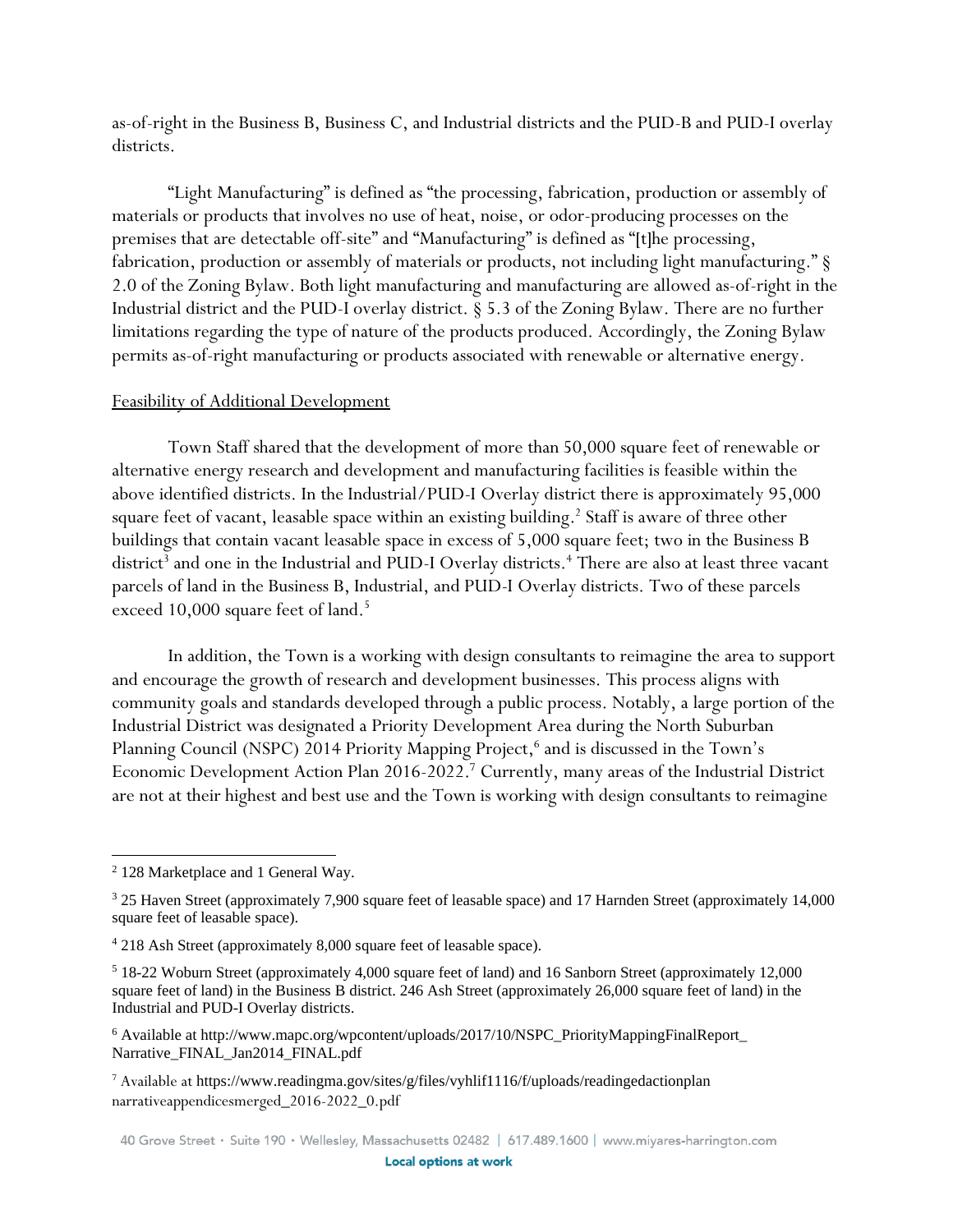as-of-right in the Business B, Business C, and Industrial districts and the PUD-B and PUD-I overlay districts.

"Light Manufacturing" is defined as "the processing, fabrication, production or assembly of materials or products that involves no use of heat, noise, or odor-producing processes on the premises that are detectable off-site" and "Manufacturing" is defined as "[t]he processing, fabrication, production or assembly of materials or products, not including light manufacturing." § 2.0 of the Zoning Bylaw. Both light manufacturing and manufacturing are allowed as-of-right in the Industrial district and the PUD-I overlay district. § 5.3 of the Zoning Bylaw. There are no further limitations regarding the type of nature of the products produced. Accordingly, the Zoning Bylaw permits as-of-right manufacturing or products associated with renewable or alternative energy.

#### Feasibility of Additional Development

Town Staff shared that the development of more than 50,000 square feet of renewable or alternative energy research and development and manufacturing facilities is feasible within the above identified districts. In the Industrial/PUD-I Overlay district there is approximately 95,000 square feet of vacant, leasable space within an existing building.<sup>2</sup> Staff is aware of three other buildings that contain vacant leasable space in excess of 5,000 square feet; two in the Business B district $^3$  and one in the Industrial and PUD-I Overlay districts. $^4$  There are also at least three vacant parcels of land in the Business B, Industrial, and PUD-I Overlay districts. Two of these parcels exceed 10,000 square feet of land.<sup>5</sup>

In addition, the Town is a working with design consultants to reimagine the area to support and encourage the growth of research and development businesses. This process aligns with community goals and standards developed through a public process. Notably, a large portion of the Industrial District was designated a Priority Development Area during the North Suburban Planning Council (NSPC) 2014 Priority Mapping Project,<sup>6</sup> and is discussed in the Town's Economic Development Action Plan 2016-2022.<sup>7</sup> Currently, many areas of the Industrial District are not at their highest and best use and the Town is working with design consultants to reimagine

<sup>2</sup> 128 Marketplace and 1 General Way.

<sup>3</sup> 25 Haven Street (approximately 7,900 square feet of leasable space) and 17 Harnden Street (approximately 14,000 square feet of leasable space).

<sup>4</sup> 218 Ash Street (approximately 8,000 square feet of leasable space).

<sup>5</sup> 18-22 Woburn Street (approximately 4,000 square feet of land) and 16 Sanborn Street (approximately 12,000 square feet of land) in the Business B district. 246 Ash Street (approximately 26,000 square feet of land) in the Industrial and PUD-I Overlay districts.

<sup>6</sup> Available at http://www.mapc.org/wpcontent/uploads/2017/10/NSPC\_PriorityMappingFinalReport\_ Narrative\_FINAL\_Jan2014\_FINAL.pdf

<sup>7</sup> Available at https://www.readingma.gov/sites/g/files/vyhlif1116/f/uploads/readingedactionplan narrativeappendicesmerged\_2016-2022\_0.pdf

<sup>40</sup> Grove Street · Suite 190 · Wellesley, Massachusetts 02482 | 617.489.1600 | www.miyares-harrington.com